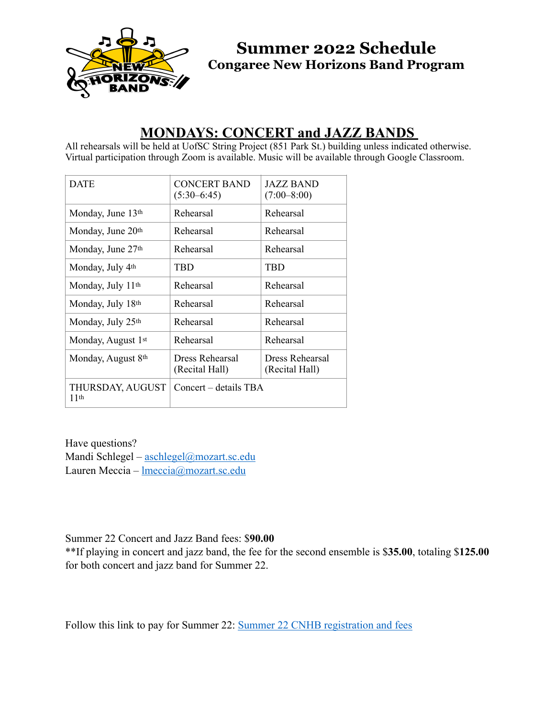

**Summer 2022 Schedule Congaree New Horizons Band Program**

## **MONDAYS: CONCERT and JAZZ BANDS**

All rehearsals will be held at UofSC String Project (851 Park St.) building unless indicated otherwise. Virtual participation through Zoom is available. Music will be available through Google Classroom.

| <b>DATE</b>                    | <b>CONCERT BAND</b><br>$(5:30-6:45)$ | JAZZ BAND<br>$(7:00 - 8:00)$      |
|--------------------------------|--------------------------------------|-----------------------------------|
| Monday, June 13th              | Rehearsal                            | Rehearsal                         |
| Monday, June 20th              | Rehearsal                            | Rehearsal                         |
| Monday, June 27th              | Rehearsal                            | Rehearsal                         |
| Monday, July 4 <sup>th</sup>   | TBD                                  | <b>TBD</b>                        |
| Monday, July 11th              | Rehearsal                            | Rehearsal                         |
| Monday, July 18th              | Rehearsal                            | Rehearsal                         |
| Monday, July 25th              | Rehearsal                            | Rehearsal                         |
| Monday, August 1st             | Rehearsal                            | Rehearsal                         |
| Monday, August 8 <sup>th</sup> | Dress Rehearsal<br>(Recital Hall)    | Dress Rehearsal<br>(Recital Hall) |
| THURSDAY, AUGUST<br>11th       | Concert – details TBA                |                                   |

Have questions? Mandi Schlegel – [aschlegel@mozart.sc.edu](mailto:aschlegel@mozart.sc.edu) Lauren Meccia – [lmeccia@mozart.sc.edu](mailto:lmeccia@mozart.sc.edu)

Summer 22 Concert and Jazz Band fees: \$**90.00**

\*\*If playing in concert and jazz band, the fee for the second ensemble is \$**35.00**, totaling \$**125.00** for both concert and jazz band for Summer 22.

Follow this link to pay for Summer 22: [Summer 22 CNHB registration and fees](https://secure.touchnet.net/C21544_ustores/web/product_detail.jsp?PRODUCTID=3100&FROMQRCODE=true)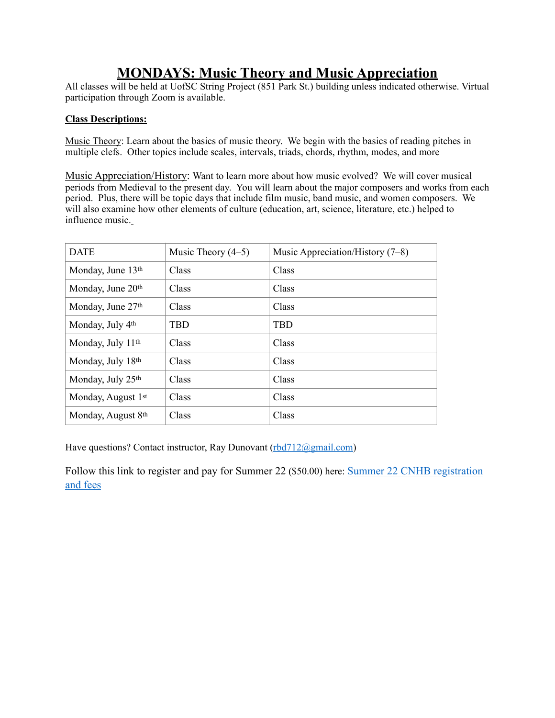## **MONDAYS: Music Theory and Music Appreciation**

All classes will be held at UofSC String Project (851 Park St.) building unless indicated otherwise. Virtual participation through Zoom is available.

#### **Class Descriptions:**

Music Theory: Learn about the basics of music theory. We begin with the basics of reading pitches in multiple clefs. Other topics include scales, intervals, triads, chords, rhythm, modes, and more

Music Appreciation/History: Want to learn more about how music evolved? We will cover musical periods from Medieval to the present day. You will learn about the major composers and works from each period. Plus, there will be topic days that include film music, band music, and women composers. We will also examine how other elements of culture (education, art, science, literature, etc.) helped to influence music.

| <b>DATE</b>        | Music Theory $(4-5)$ | Music Appreciation/History $(7-8)$ |
|--------------------|----------------------|------------------------------------|
| Monday, June 13th  | Class                | Class                              |
| Monday, June 20th  | Class                | Class                              |
| Monday, June 27th  | Class                | Class                              |
| Monday, July 4th   | <b>TRD</b>           | <b>TBD</b>                         |
| Monday, July 11th  | Class                | Class                              |
| Monday, July 18th  | Class                | Class                              |
| Monday, July 25th  | Class                | Class                              |
| Monday, August 1st | Class                | Class                              |
| Monday, August 8th | Class                | Class                              |

Have questions? Contact instructor, Ray Dunovant ([rbd712@gmail.com\)](mailto:rbd712@gmail.com)

Follow this link to register and pay for Summer 22 (\$50.00) here: [Summer 22 CNHB registration](https://secure.touchnet.net/C21544_ustores/web/product_detail.jsp?PRODUCTID=3100&FROMQRCODE=true)  [and fees](https://secure.touchnet.net/C21544_ustores/web/product_detail.jsp?PRODUCTID=3100&FROMQRCODE=true)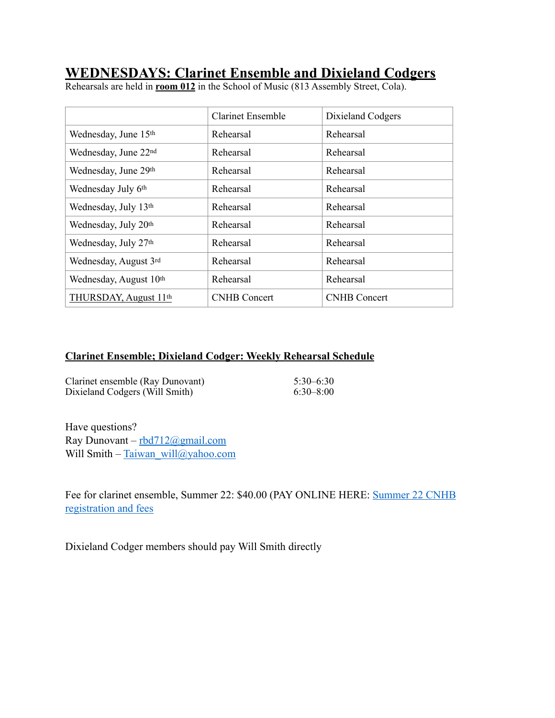## **WEDNESDAYS: Clarinet Ensemble and Dixieland Codgers**

Rehearsals are held in **room 012** in the School of Music (813 Assembly Street, Cola).

|                                    | <b>Clarinet Ensemble</b><br>Dixieland Codgers |                     |
|------------------------------------|-----------------------------------------------|---------------------|
| Wednesday, June 15th               | Rehearsal                                     | Rehearsal           |
| Wednesday, June 22nd               | Rehearsal                                     | Rehearsal           |
| Wednesday, June 29th               | Rehearsal                                     | Rehearsal           |
| Wednesday July 6th                 | Rehearsal                                     | Rehearsal           |
| Wednesday, July 13th               | Rehearsal                                     | Rehearsal           |
| Wednesday, July 20th               | Rehearsal                                     | Rehearsal           |
| Wednesday, July 27th               | Rehearsal                                     | Rehearsal           |
| Wednesday, August 3rd              | Rehearsal                                     | Rehearsal           |
| Wednesday, August 10 <sup>th</sup> | Rehearsal                                     | Rehearsal           |
| THURSDAY, August 11th              | <b>CNHB</b> Concert                           | <b>CNHB</b> Concert |

### **Clarinet Ensemble; Dixieland Codger: Weekly Rehearsal Schedule**

| Clarinet ensemble (Ray Dunovant) | $5:30-6:30$   |
|----------------------------------|---------------|
| Dixieland Codgers (Will Smith)   | $6:30 - 8:00$ |

Have questions? Ray Dunovant – [rbd712@gmail.com](mailto:rbd712@gmail.com) Will Smith – [Taiwan\\_will@yahoo.com](mailto:Taiwan_will@yahoo.com)

Fee for clarinet ensemble, Summer 22: \$40.00 (PAY ONLINE HERE: [Summer 22 CNHB](https://secure.touchnet.net/C21544_ustores/web/product_detail.jsp?PRODUCTID=3100&FROMQRCODE=true)  [registration and fees](https://secure.touchnet.net/C21544_ustores/web/product_detail.jsp?PRODUCTID=3100&FROMQRCODE=true)

Dixieland Codger members should pay Will Smith directly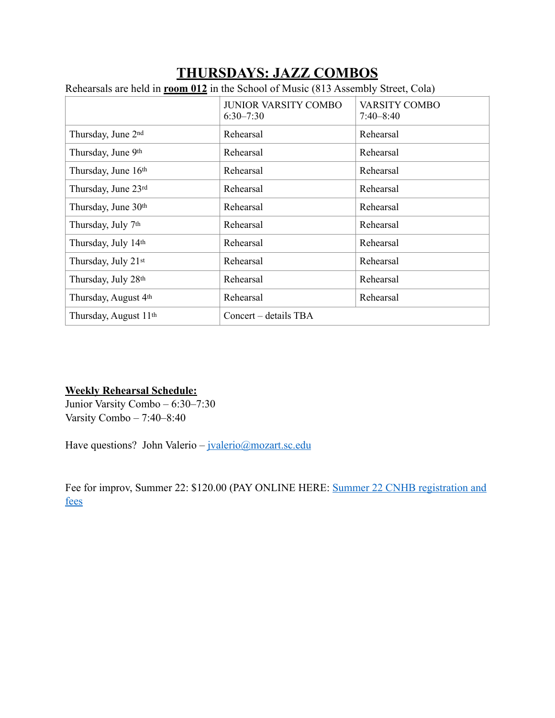# **THURSDAYS: JAZZ COMBOS**

Rehearsals are held in **room 012** in the School of Music (813 Assembly Street, Cola)

|                                   | <b>JUNIOR VARSITY COMBO</b><br><b>VARSITY COMBO</b><br>$6:30 - 7:30$<br>$7:40 - 8:40$ |           |  |
|-----------------------------------|---------------------------------------------------------------------------------------|-----------|--|
| Thursday, June 2nd                | Rehearsal                                                                             | Rehearsal |  |
| Thursday, June 9th                | Rehearsal<br>Rehearsal                                                                |           |  |
| Thursday, June 16th               | Rehearsal                                                                             | Rehearsal |  |
| Thursday, June 23rd               | Rehearsal                                                                             | Rehearsal |  |
| Thursday, June 30th               | Rehearsal                                                                             | Rehearsal |  |
| Thursday, July 7th                | Rehearsal                                                                             | Rehearsal |  |
| Thursday, July 14th               | Rehearsal                                                                             | Rehearsal |  |
| Thursday, July 21st               | Rehearsal                                                                             | Rehearsal |  |
| Thursday, July 28th               | Rehearsal                                                                             | Rehearsal |  |
| Thursday, August 4th              | Rehearsal                                                                             | Rehearsal |  |
| Thursday, August 11 <sup>th</sup> | Concert – details TBA                                                                 |           |  |

#### **Weekly Rehearsal Schedule:**

Junior Varsity Combo – 6:30–7:30 Varsity Combo – 7:40–8:40

Have questions? John Valerio – [jvalerio@mozart.sc.edu](mailto:jvalerio@mozart.sc.edu)

Fee for improv, Summer 22: \$120.00 (PAY ONLINE HERE: [Summer 22 CNHB registration and](https://secure.touchnet.net/C21544_ustores/web/product_detail.jsp?PRODUCTID=3100&FROMQRCODE=true)  [fees](https://secure.touchnet.net/C21544_ustores/web/product_detail.jsp?PRODUCTID=3100&FROMQRCODE=true)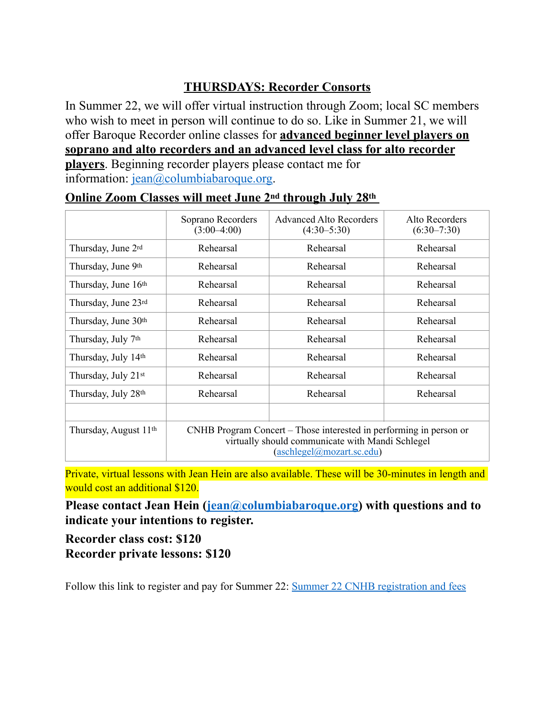## **THURSDAYS: Recorder Consorts**

In Summer 22, we will offer virtual instruction through Zoom; local SC members who wish to meet in person will continue to do so. Like in Summer 21, we will offer Baroque Recorder online classes for **advanced beginner level players on soprano and alto recorders and an advanced level class for alto recorder players**. Beginning recorder players please contact me for information: [jean@columbiabaroque.org.](mailto:jean@columbiabaroque.org)

|                                   | Soprano Recorders<br>$(3:00-4:00)$                                                                                                                  | <b>Advanced Alto Recorders</b><br>$(4:30-5:30)$ | Alto Recorders<br>$(6:30-7:30)$ |
|-----------------------------------|-----------------------------------------------------------------------------------------------------------------------------------------------------|-------------------------------------------------|---------------------------------|
| Thursday, June 2rd                | Rehearsal                                                                                                                                           | Rehearsal                                       | Rehearsal                       |
| Thursday, June 9th                | Rehearsal                                                                                                                                           | Rehearsal                                       | Rehearsal                       |
| Thursday, June 16th               | Rehearsal                                                                                                                                           | Rehearsal                                       | Rehearsal                       |
| Thursday, June 23rd               | Rehearsal                                                                                                                                           | Rehearsal                                       | Rehearsal                       |
| Thursday, June 30th               | Rehearsal                                                                                                                                           | Rehearsal                                       | Rehearsal                       |
| Thursday, July 7 <sup>th</sup>    | Rehearsal                                                                                                                                           | Rehearsal                                       | Rehearsal                       |
| Thursday, July 14th               | Rehearsal                                                                                                                                           | Rehearsal                                       | Rehearsal                       |
| Thursday, July 21st               | Rehearsal                                                                                                                                           | Rehearsal                                       | Rehearsal                       |
| Thursday, July 28th               | Rehearsal                                                                                                                                           | Rehearsal                                       | Rehearsal                       |
|                                   |                                                                                                                                                     |                                                 |                                 |
| Thursday, August 11 <sup>th</sup> | CNHB Program Concert – Those interested in performing in person or<br>virtually should communicate with Mandi Schlegel<br>(aschlegel@mozart.sc.edu) |                                                 |                                 |

### **Online Zoom Classes will meet June 2nd through July 28th**

Private, virtual lessons with Jean Hein are also available. These will be 30-minutes in length and would cost an additional \$120.

**Please contact Jean Hein [\(jean@columbiabaroque.org](mailto:jean@columbiabaroque.org)) with questions and to indicate your intentions to register.** 

**Recorder class cost: \$120 Recorder private lessons: \$120**

Follow this link to register and pay for Summer 22: [Summer 22 CNHB registration and fees](https://secure.touchnet.net/C21544_ustores/web/product_detail.jsp?PRODUCTID=3100&FROMQRCODE=true)